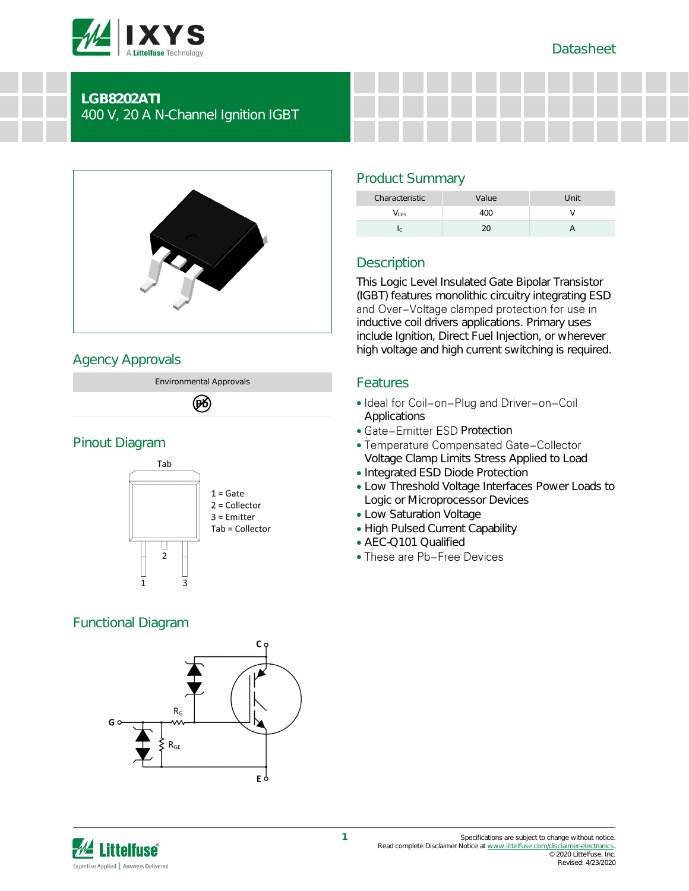



## **LGB8202ATI** 400 V, 20 A N-Channel Ignition IGBT



# Agency Approvals

Environmental Approvals

### (PK)

## Pinout Diagram



# Functional Diagram



# Product Summary

| Characteristic | Value   | Unit |
|----------------|---------|------|
| CES            | .( )( ) |      |
|                |         |      |

# **Description**

This Logic Level Insulated Gate Bipolar Transistor (IGBT) features monolithic circuitry integrating ESD<br>and Over-Voltage clamped protection for use in inductive coil drivers applications. Primary uses include Ignition, Direct Fuel Injection, or wherever high voltage and high current switching is required.

## Features

- Ideal for Coil-on-Plug and Driver-on-Coil **Applications**
- Gate-Emitter ESD Protection
- Temperature Compensated Gate-Collector Voltage Clamp Limits Stress Applied to Load
- Integrated ESD Diode Protection
- Low Threshold Voltage Interfaces Power Loads to Logic or Microprocessor Devices
- Low Saturation Voltage
- High Pulsed Current Capability
- AEC-Q101 Qualified
- These are Pb-Free Devices

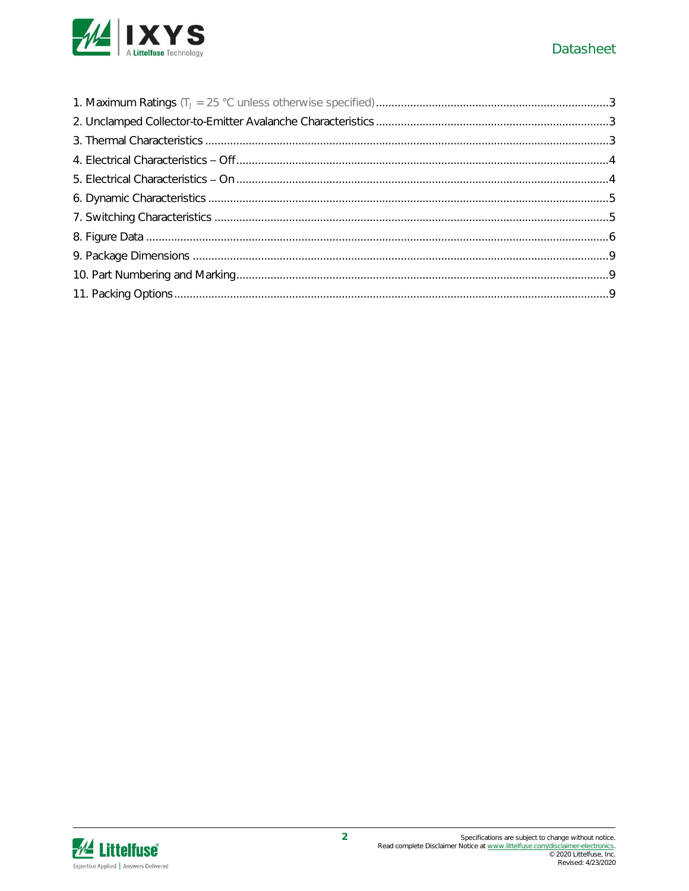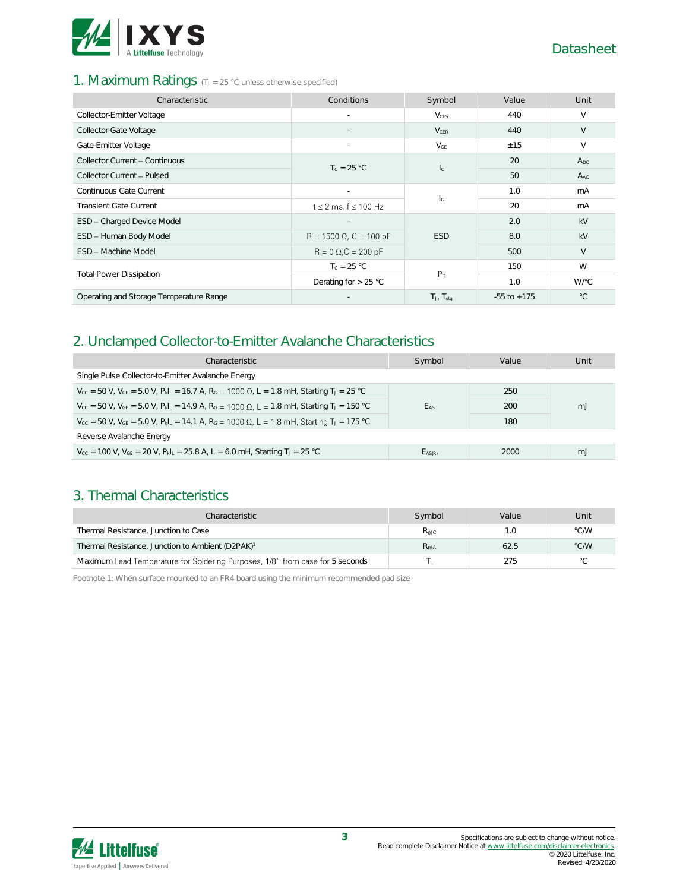

### 1. Maximum Ratings (TJ = 25 °C unless otherwise specified)

| Characteristic                          | Conditions                     | Symbol                    | Value           | Unit         |
|-----------------------------------------|--------------------------------|---------------------------|-----------------|--------------|
| Collector-Emitter Voltage               |                                | <b>V</b> <sub>CES</sub>   | 440             | $\vee$       |
| Collector-Gate Voltage                  |                                | $V_{CER}$                 | 440             | V            |
| Gate-Emitter Voltage                    |                                | $V_{GE}$                  | ±15             | V            |
| Collector Current - Continuous          | $T_c = 25 °C$                  | $l_{\rm C}$               | 20              | $A_{DC}$     |
| Collector Current - Pulsed              |                                |                           | 50              | $A_{AC}$     |
| Continuous Gate Current                 | $\sim$                         | $\mathsf{I}_{\mathsf{G}}$ | 1.0             | mA           |
| <b>Transient Gate Current</b>           | $t \leq 2$ ms, $f \leq 100$ Hz |                           | 20              | mA           |
| ESD - Charged Device Model              |                                |                           | 2.0             | kV           |
| ESD - Human Body Model                  | $R = 1500 \Omega$ , C = 100 pF | <b>ESD</b>                | 8.0             | kV           |
| ESD - Machine Model                     | $R = 0 \Omega$ , $C = 200 pF$  |                           | 500             | V            |
|                                         | $T_c = 25 °C$                  | P <sub>D</sub>            | 150             | W            |
| <b>Total Power Dissipation</b>          | Derating for $> 25$ °C         |                           | 1.0             | W/°C         |
| Operating and Storage Temperature Range |                                | $T_J$ , $T_{stq}$         | $-55$ to $+175$ | $^{\circ}$ C |

## 2. Unclamped Collector-to-Emitter Avalanche Characteristics

| Characteristic                                                                                                                                               | Symbol      | Value | Unit |
|--------------------------------------------------------------------------------------------------------------------------------------------------------------|-------------|-------|------|
| Single Pulse Collector-to-Emitter Avalanche Energy                                                                                                           |             |       |      |
| $V_{\text{cc}}$ = 50 V, V <sub>GE</sub> = 5.0 V, P <sub>kl</sub> <sub>L</sub> = 16.7 A, R <sub>G</sub> = 1000 Ω, L = 1.8 mH, Starting T <sub>J</sub> = 25 °C |             | 250   |      |
| $V_{cc}$ = 50 V, $V_{GE}$ = 5.0 V, $P_k$ <sub>L</sub> = 14.9 A, $R_G$ = 1000 Ω, L = 1.8 mH, Starting T <sub>J</sub> = 150 °C                                 | EAS         | 200   | m.   |
| $V_{cc}$ = 50 V, $V_{GE}$ = 5.0 V, $P_{k L}$ = 14.1 A, $R_G$ = 1000 Ω, L = 1.8 mH, Starting T <sub>J</sub> = 175 °C                                          |             | 180   |      |
| Reverse Avalanche Energy                                                                                                                                     |             |       |      |
| $V_{\text{CC}}$ = 100 V, $V_{\text{GE}}$ = 20 V, $P_{\text{k}}I_{\text{L}}$ = 25.8 A, L = 6.0 mH, Starting T <sub>J</sub> = 25 °C                            | $E_{AS(R)}$ | 2000  | m.J  |

### 3. Thermal Characteristics

| Characteristic                                                                | Symbol           | Value | Unit           |
|-------------------------------------------------------------------------------|------------------|-------|----------------|
| Thermal Resistance, Junction to Case                                          | $R_{\text{AIC}}$ | 1.0   | °C/W           |
| Thermal Resistance, Junction to Ambient (D2PAK) <sup>1</sup>                  | $R_{\text{AJA}}$ | 62.5  | °C/W           |
| Maximum Lead Temperature for Soldering Purposes, 1/8" from case for 5 seconds |                  | 275   | $\circ$ $\cap$ |

Footnote 1: When surface mounted to an FR4 board using the minimum recommended pad size

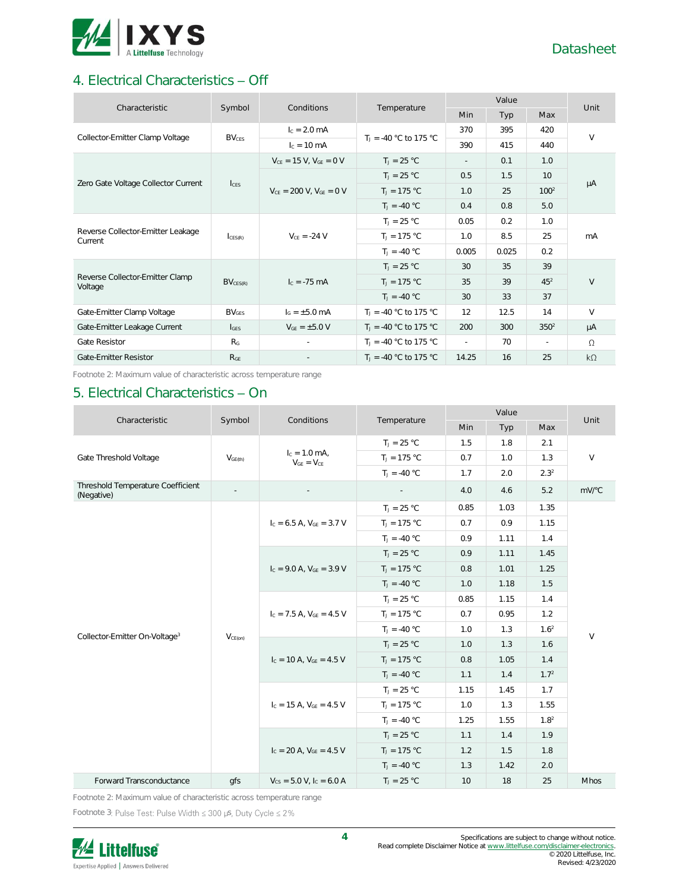

# 4. Electrical Characteristics - Off

| Characteristic                               | Symbol                  | Conditions                       | Temperature              |        | Unit       |                  |           |
|----------------------------------------------|-------------------------|----------------------------------|--------------------------|--------|------------|------------------|-----------|
|                                              |                         |                                  |                          | Min    | <b>Typ</b> | Max              |           |
| Collector-Emitter Clamp Voltage              | <b>BV<sub>CES</sub></b> | $I_c = 2.0$ mA                   | $T_1 = -40$ °C to 175 °C | 370    | 395        | 420              | $\vee$    |
|                                              |                         | $I_c = 10 \text{ mA}$            |                          | 390    | 415        | 440              |           |
| Zero Gate Voltage Collector Current          |                         | $V_{CE} = 15 V$ , $V_{GE} = 0 V$ | $T_1 = 25 °C$            | $\sim$ | 0.1        | 1.0              |           |
|                                              | $l_{\text{CES}}$        |                                  | $T_1 = 25 °C$            | 0.5    | 1.5        | 10 <sup>1</sup>  |           |
|                                              |                         | $V_{CF} = 200$ V, $V_{GF} = 0$ V | $T_1 = 175 °C$           | 1.0    | 25         | 100 <sup>2</sup> | μA        |
|                                              |                         |                                  | $T_1 = -40 °C$           | 0.4    | 0.8        | 5.0              |           |
| Reverse Collector-Emitter Leakage<br>Current | CFS(R)                  | $V_{CF} = -24 V$                 | $T_J = 25 °C$            | 0.05   | 0.2        | 1.0              | mA        |
|                                              |                         |                                  | $T_J = 175 °C$           | 1.0    | 8.5        | 25               |           |
|                                              |                         |                                  | $T_1 = -40 °C$           | 0.005  | 0.025      | 0.2              |           |
|                                              |                         |                                  | $T_1 = 25 °C$            | 30     | 35         | 39               |           |
| Reverse Collector-Emitter Clamp<br>Voltage   | $BV_{CES(R)}$           | $I_c = -75 \text{ mA}$           | $T_J = 175 °C$           | 35     | 39         | 45 <sup>2</sup>  | V         |
|                                              |                         |                                  | $T_1 = -40 °C$           | 30     | 33         | 37               |           |
| Gate-Emitter Clamp Voltage                   | BV <sub>GFS</sub>       | $I_G = \pm 5.0$ mA               | $T_1 = -40$ °C to 175 °C | 12     | 12.5       | 14               | $\vee$    |
| Gate-Emitter Leakage Current                 | $I_{GES}$               | $V_{GE} = \pm 5.0 V$             | $T_1 = -40$ °C to 175 °C | 200    | 300        | $350^2$          | $\mu A$   |
| Gate Resistor                                | R <sub>G</sub>          |                                  | $T_1 = -40$ °C to 175 °C | $\sim$ | 70         | ×.               | $\Omega$  |
| Gate-Emitter Resistor                        | R <sub>GF</sub>         |                                  | $T_1 = -40$ °C to 175 °C | 14.25  | 16         | 25               | $k\Omega$ |

Footnote 2: Maximum value of characteristic across temperature range

## 5. Electrical Characteristics - On

| Characteristic                                  | Symbol              | Conditions                           | Temperature    | Value           |      |                  | Unit        |
|-------------------------------------------------|---------------------|--------------------------------------|----------------|-----------------|------|------------------|-------------|
|                                                 |                     |                                      |                | Min             | Typ  | Max              |             |
|                                                 |                     |                                      | $T_J = 25 °C$  | 1.5             | 1.8  | 2.1              |             |
| Gate Threshold Voltage                          | V <sub>GE(th)</sub> | $I_c = 1.0$ mA,<br>$V_{GE} = V_{CE}$ | $T_J = 175 °C$ | 0.7             | 1.0  | 1.3              | $\vee$      |
|                                                 |                     |                                      | $T_1 = -40 °C$ | 1.7             | 2.0  | 2.3 <sup>2</sup> |             |
| Threshold Temperature Coefficient<br>(Negative) |                     |                                      |                | 4.0             | 4.6  | 5.2              | mV/°C       |
|                                                 |                     |                                      | $T_J = 25 °C$  | 0.85            | 1.03 | 1.35             |             |
|                                                 |                     | $I_c = 6.5$ A, $V_{GE} = 3.7$ V      | $T_1 = 175 °C$ | 0.7             | 0.9  | 1.15             |             |
|                                                 |                     |                                      | $T_1 = -40 °C$ | 0.9             | 1.11 | 1.4              |             |
|                                                 |                     | $I_c = 9.0$ A, $V_{GE} = 3.9$ V      | $T_J = 25 °C$  | 0.9             | 1.11 | 1.45             |             |
|                                                 | $V_{CE(on)}$        |                                      | $T_J = 175 °C$ | 0.8             | 1.01 | 1.25             | $\vee$      |
|                                                 |                     |                                      | $T_1 = -40 °C$ | 1.0             | 1.18 | 1.5              |             |
|                                                 |                     | $I_c = 7.5 A$ , $V_{GE} = 4.5 V$     | $T_J = 25 °C$  | 0.85            | 1.15 | 1.4              |             |
|                                                 |                     |                                      | $T_J = 175 °C$ | 0.7             | 0.95 | 1.2              |             |
| Collector-Emitter On-Voltage <sup>3</sup>       |                     |                                      | $T_1 = -40 °C$ | 1.0             | 1.3  | 1.6 <sup>2</sup> |             |
|                                                 |                     | $I_c = 10$ A, $V_{GE} = 4.5$ V       | $T_1 = 25 °C$  | 1.0             | 1.3  | 1.6              |             |
|                                                 |                     |                                      | $T_J = 175 °C$ | 0.8             | 1.05 | 1.4              |             |
|                                                 |                     |                                      | $T_J = -40 °C$ | 1.1             | 1.4  | 1.7 <sup>2</sup> |             |
|                                                 |                     |                                      | $T_J = 25 °C$  | 1.15            | 1.45 | 1.7              |             |
|                                                 |                     | $I_c = 15$ A, $V_{GE} = 4.5$ V       | $T_J = 175 °C$ | 1.0             | 1.3  | 1.55             |             |
|                                                 |                     |                                      | $T_1 = -40 °C$ | 1.25            | 1.55 | 1.8 <sup>2</sup> |             |
|                                                 |                     |                                      | $T_J = 25 °C$  | 1.1             | 1.4  | 1.9              |             |
|                                                 |                     | $I_c = 20$ A, $V_{GF} = 4.5$ V       | $T_1 = 175 °C$ | 1.2             | 1.5  | 1.8              |             |
|                                                 |                     |                                      | $T_1 = -40 °C$ | 1.3             | 1.42 | 2.0              |             |
| Forward Transconductance                        | qfs                 | $V_{CS} = 5.0 V, I_C = 6.0 A$        | $T_1 = 25 °C$  | 10 <sup>1</sup> | 18   | 25               | <b>Mhos</b> |

Footnote 2: Maximum value of characteristic across temperature range

Footnote 3: Pulse Test: Pulse Width  $\leq 300$  µs, Duty Cycle  $\leq 2\%$ 

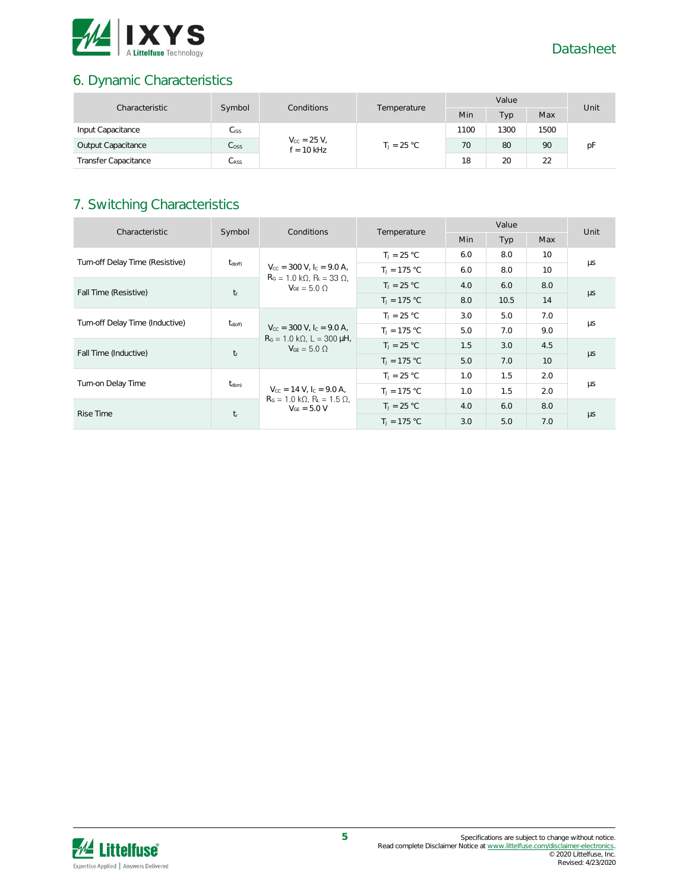

# 6. Dynamic Characteristics

| Characteristic              | Symbol<br>Conditions |                      | Value        |               |      | Unit |    |    |
|-----------------------------|----------------------|----------------------|--------------|---------------|------|------|----|----|
|                             |                      |                      | Temperature  | Min           | Typ. | Max  |    |    |
| Input Capacitance           | Ciss                 |                      |              | 1100          | 1300 | 1500 |    |    |
| Output Capacitance          | C <sub>oss</sub>     | $V_{\rm CC} = 25 V,$ | $f = 10$ kHz | $T_1 = 25 °C$ | 70   | 80   | 90 | рF |
| <b>Transfer Capacitance</b> | $C_{\rm RSS}$        |                      |              | 18            | 20   | 22   |    |    |

# 7. Switching Characteristics

| Characteristic                  | Symbol              | Conditions                                                                                                                               | Temperature    |            | Unit |                 |               |
|---------------------------------|---------------------|------------------------------------------------------------------------------------------------------------------------------------------|----------------|------------|------|-----------------|---------------|
|                                 |                     |                                                                                                                                          |                | <b>Min</b> | Typ  | Max             |               |
| Turn-off Delay Time (Resistive) |                     |                                                                                                                                          | $T_1 = 25 °C$  | 6.0        | 8.0  | 10              |               |
|                                 | $t_{\text{d(off)}}$ | $V_{\text{cc}} = 300 \text{ V}$ , $I_{\text{c}} = 9.0 \text{ A}$ ,<br>$RG = 1.0 k\Omega$ , $RL = 33 \Omega$ ,                            | $T_J = 175 °C$ | 6.0        | 8.0  | 10 <sup>2</sup> | μs            |
| $t_f$<br>Fall Time (Resistive)  |                     | $V_{GF} = 5.0 \Omega$                                                                                                                    | $T_1 = 25 °C$  | 4.0        | 6.0  | 8.0             |               |
|                                 |                     |                                                                                                                                          | $T_1 = 175 °C$ | 8.0        | 10.5 | 14              | $\mu s$       |
| Turn-off Delay Time (Inductive) | $t_{\text{d(off)}}$ | $V_{\text{CC}} = 300 \text{ V}$ , $I_{\text{C}} = 9.0 \text{ A}$ ,<br>$R_G = 1.0 \text{ k}\Omega$ , L = 300 µH,<br>$V_{GF} = 5.0 \Omega$ | $T_1 = 25 °C$  | 3.0        | 5.0  | 7.0             | μs<br>$\mu s$ |
|                                 |                     |                                                                                                                                          | $T_1 = 175 °C$ | 5.0        | 7.0  | 9.0             |               |
|                                 | $t_f$               |                                                                                                                                          | $T_1 = 25 °C$  | 1.5        | 3.0  | 4.5             |               |
| Fall Time (Inductive)           |                     |                                                                                                                                          | $T_1 = 175 °C$ | 5.0        | 7.0  | 10 <sup>°</sup> |               |
|                                 |                     |                                                                                                                                          | $T_1 = 25 °C$  | 1.0        | 1.5  | 2.0             |               |
| Turn-on Delay Time              | $t_{d(on)}$         | $V_{\text{cc}} = 14 \text{ V}$ , $I_{\text{c}} = 9.0 \text{ A}$ ,                                                                        | $T_1 = 175 °C$ | 1.0        | 1.5  | 2.0             | μs            |
| Rise Time                       |                     | $RG = 1.0 k\Omega$ , $RL = 1.5 \Omega$ ,<br>$V_{GF} = 5.0 V$<br>$t_{\rm r}$                                                              | $T_J = 25 °C$  | 4.0        | 6.0  | 8.0             |               |
|                                 |                     |                                                                                                                                          | $T_1 = 175 °C$ | 3.0        | 5.0  | 7.0             | $\mu s$       |

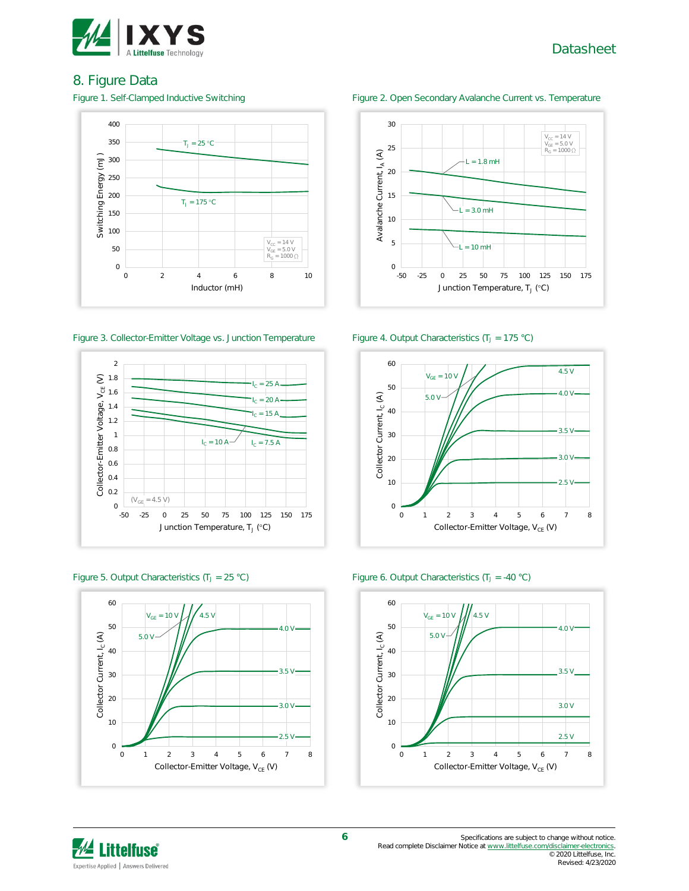

### 8. Figure Data



#### Figure 3. Collector-Emitter Voltage vs. Junction Temperature Figure 4. Output Characteristics (T<sub>J</sub> = 175 °C)











Figure 5. Output Characteristics (T<sub>J</sub> = 25 °C) Figure 6. Output Characteristics (T<sub>J</sub> = -40 °C)

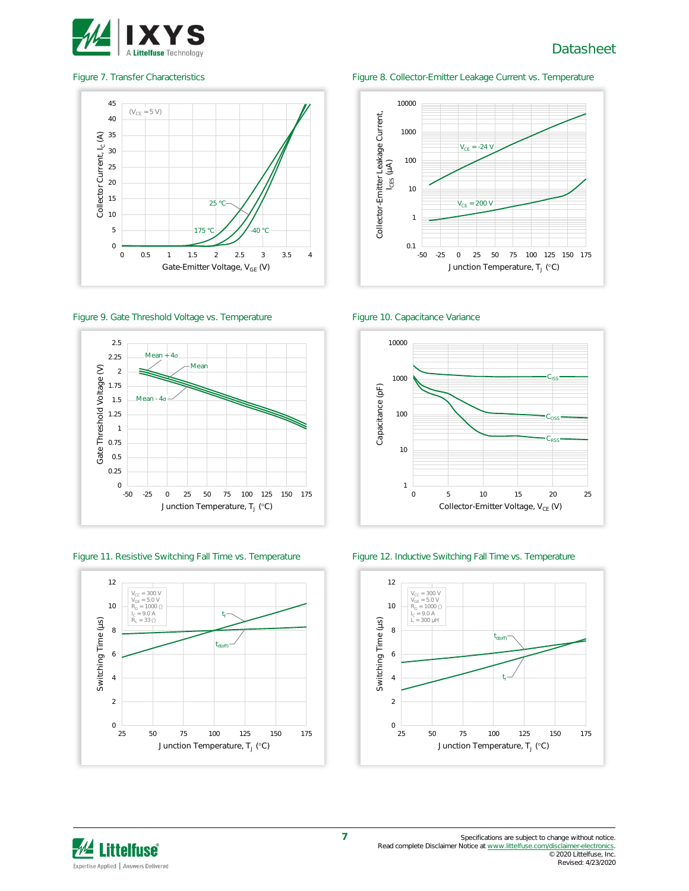



#### Figure 9. Gate Threshold Voltage vs. Temperature Figure 10. Capacitance Variance



#### Figure 11. Resistive Switching Fall Time vs. Temperature Figure 12. Inductive Switching Fall Time vs. Temperature



#### Figure 7. Transfer Characteristics Figure 8. Collector-Emitter Leakage Current vs. Temperature







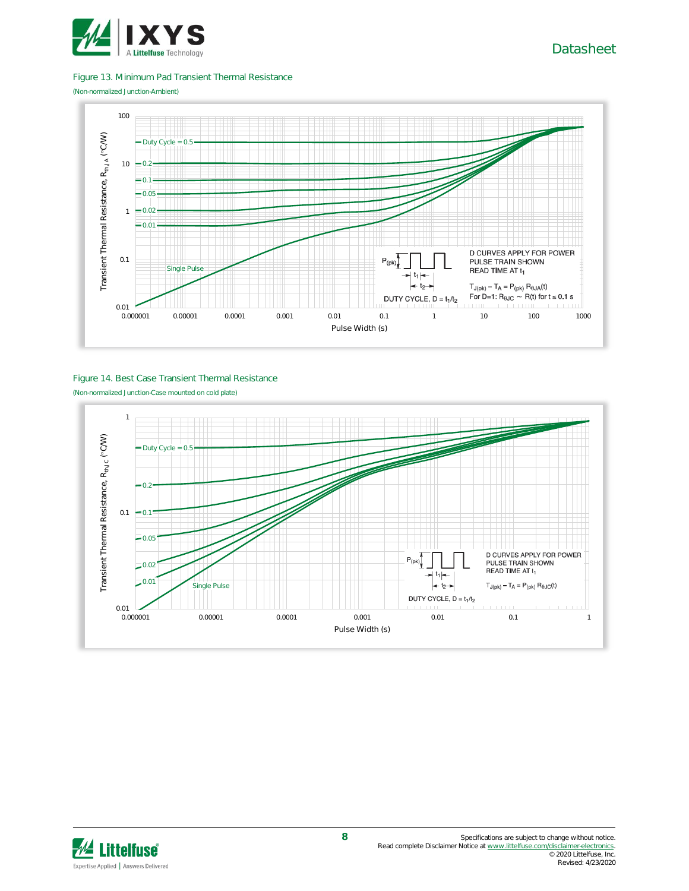

#### Figure 13. Minimum Pad Transient Thermal Resistance

(Non-normalized Junction-Ambient)



#### Figure 14. Best Case Transient Thermal Resistance (Non-normalized Junction-Case mounted on cold plate)